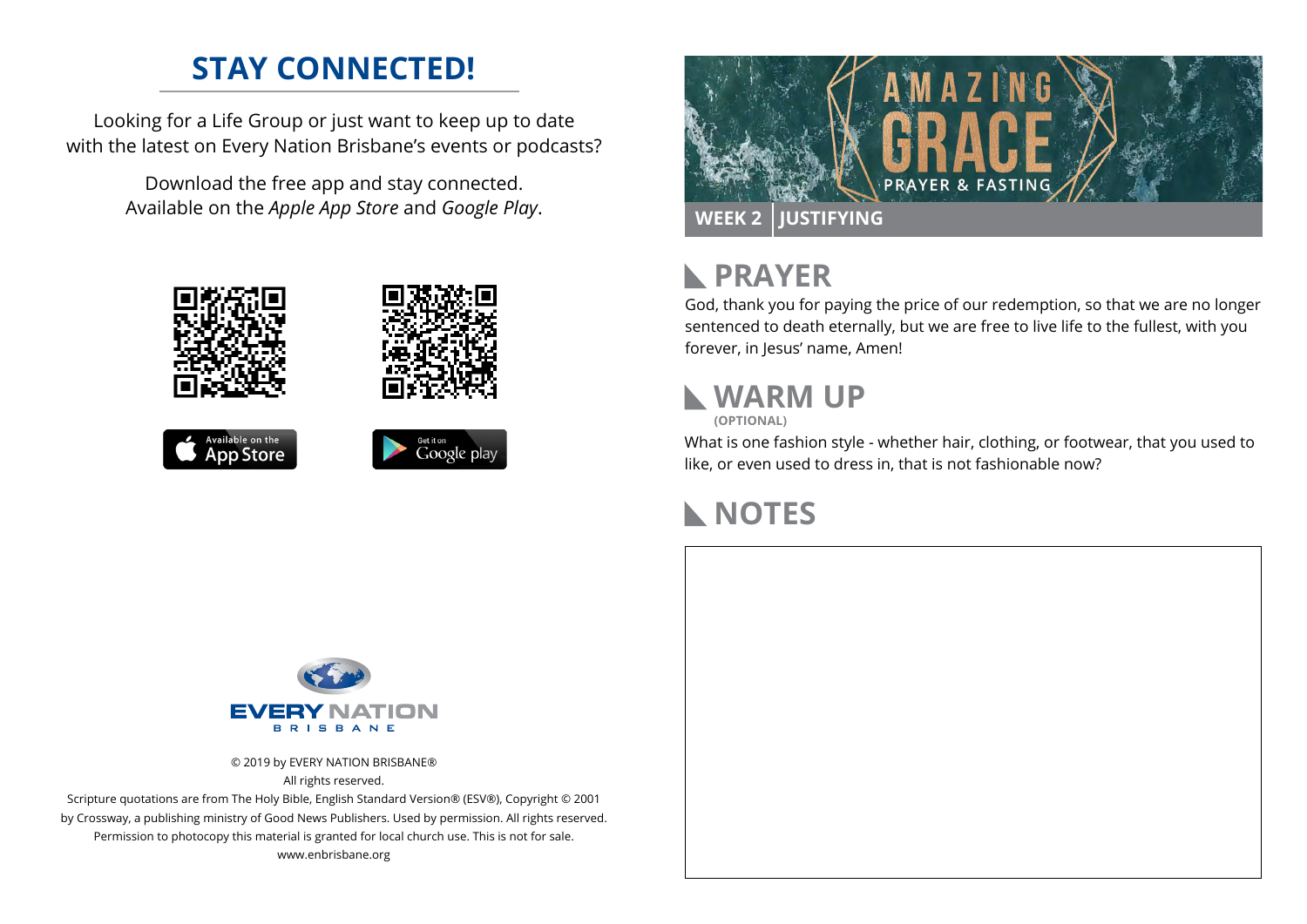#### **STAY CONNECTED!**

Looking for a Life Group or just want to keep up to date with the latest on Every Nation Brisbane's events or podcasts?

> Download the free app and stay connected. Available on the *Apple App Store* and *Google Play*.











### **N** PRAYER

God, thank you for paying the price of our redemption, so that we are no longer sentenced to death eternally, but we are free to live life to the fullest, with you forever, in Jesus' name, Amen!

# **WARM UP**

**(OPTIONAL)**

What is one fashion style - whether hair, clothing, or footwear, that you used to like, or even used to dress in, that is not fashionable now?

### **NOTES**



© 2019 by EVERY NATION BRISBANE® All rights reserved.

Scripture quotations are from The Holy Bible, English Standard Version® (ESV®), Copyright © 2001 by Crossway, a publishing ministry of Good News Publishers. Used by permission. All rights reserved. Permission to photocopy this material is granted for local church use. This is not for sale. www.enbrisbane.org